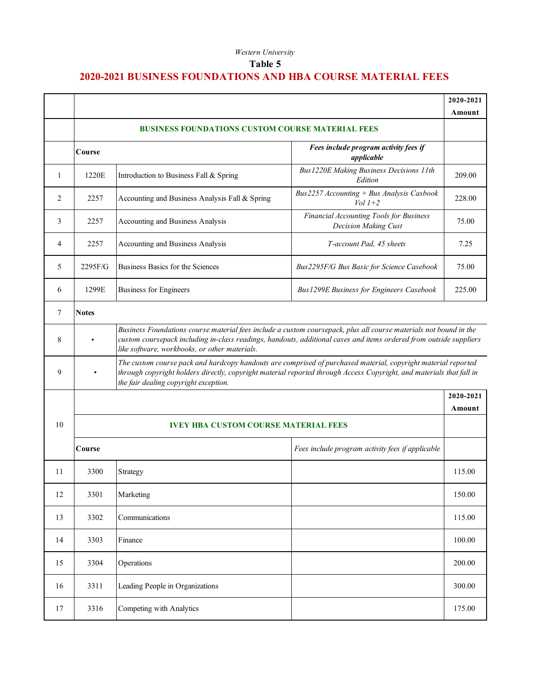## *Western University*

## **Table 5**

## **2020-2021 BUSINESS FOUNDATIONS AND HBA COURSE MATERIAL FEES**

|    |                                                                                                                                                                                                                                                                                          |                                                |                                                                 | 2020-2021           |
|----|------------------------------------------------------------------------------------------------------------------------------------------------------------------------------------------------------------------------------------------------------------------------------------------|------------------------------------------------|-----------------------------------------------------------------|---------------------|
|    |                                                                                                                                                                                                                                                                                          |                                                |                                                                 | Amount              |
|    | <b>BUSINESS FOUNDATIONS CUSTOM COURSE MATERIAL FEES</b>                                                                                                                                                                                                                                  |                                                |                                                                 |                     |
|    | Course                                                                                                                                                                                                                                                                                   |                                                | Fees include program activity fees if<br>applicable             |                     |
| 1  | 1220E                                                                                                                                                                                                                                                                                    | Introduction to Business Fall & Spring         | Bus 1220E Making Business Decisions 11th<br>Edition             | 209.00              |
| 2  | 2257                                                                                                                                                                                                                                                                                     | Accounting and Business Analysis Fall & Spring | Bus2257 Accounting + Bus Analysis Casbook<br>$Vol 1+2$          | 228.00              |
| 3  | 2257                                                                                                                                                                                                                                                                                     | Accounting and Business Analysis               | Financial Accounting Tools for Business<br>Decision Making Cust | 75.00               |
| 4  | 2257                                                                                                                                                                                                                                                                                     | Accounting and Business Analysis               | T-account Pad, 45 sheets                                        | 7.25                |
| 5  | 2295F/G                                                                                                                                                                                                                                                                                  | Business Basics for the Sciences               | Bus2295F/G Bus Basic for Science Casebook                       | 75.00               |
| 6  | 1299E                                                                                                                                                                                                                                                                                    | <b>Business for Engineers</b>                  | Bus 1299E Business for Engineers Casebook                       | 225.00              |
| 7  | <b>Notes</b>                                                                                                                                                                                                                                                                             |                                                |                                                                 |                     |
| 8  | Business Foundations course material fees include a custom coursepack, plus all course materials not bound in the<br>custom coursepack including in-class readings, handouts, additional cases and items ordered from outside suppliers<br>like software, workbooks, or other materials. |                                                |                                                                 |                     |
| 9  | The custom course pack and hardcopy handouts are comprised of purchased material, copyright material reported<br>through copyright holders directly, copyright material reported through Access Copyright, and materials that fall in<br>the fair dealing copyright exception.           |                                                |                                                                 |                     |
|    |                                                                                                                                                                                                                                                                                          |                                                |                                                                 | 2020-2021<br>Amount |
| 10 | <b>IVEY HBA CUSTOM COURSE MATERIAL FEES</b>                                                                                                                                                                                                                                              |                                                |                                                                 |                     |
|    | Course                                                                                                                                                                                                                                                                                   |                                                | Fees include program activity fees if applicable                |                     |
| 11 | 3300                                                                                                                                                                                                                                                                                     | Strategy                                       |                                                                 | 115.00              |
| 12 | 3301                                                                                                                                                                                                                                                                                     | Marketing                                      |                                                                 | 150.00              |
| 13 | 3302                                                                                                                                                                                                                                                                                     | Communications                                 |                                                                 | 115.00              |
| 14 | 3303                                                                                                                                                                                                                                                                                     | Finance                                        |                                                                 | 100.00              |
| 15 | 3304                                                                                                                                                                                                                                                                                     | Operations                                     |                                                                 | 200.00              |
| 16 | 3311                                                                                                                                                                                                                                                                                     | Leading People in Organizations                |                                                                 | 300.00              |
| 17 | 3316                                                                                                                                                                                                                                                                                     | Competing with Analytics                       |                                                                 | 175.00              |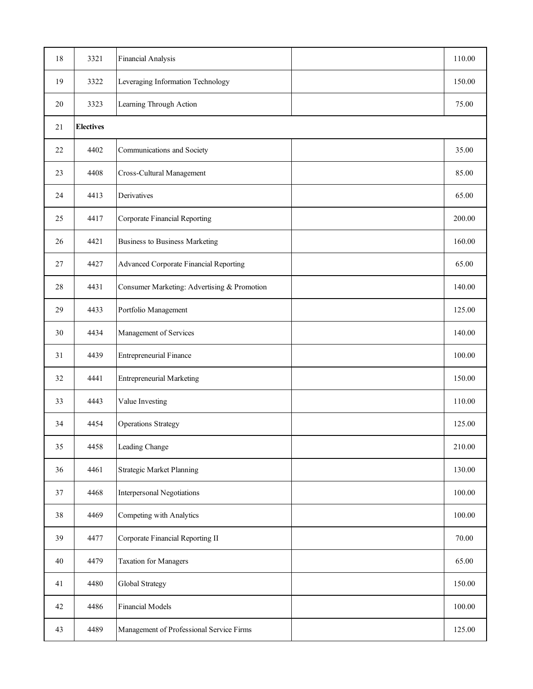| 18 | 3321             | Financial Analysis                          |  | 110.00 |
|----|------------------|---------------------------------------------|--|--------|
| 19 | 3322             | Leveraging Information Technology           |  | 150.00 |
| 20 | 3323             | Learning Through Action                     |  | 75.00  |
| 21 | <b>Electives</b> |                                             |  |        |
| 22 | 4402             | Communications and Society                  |  | 35.00  |
| 23 | 4408             | Cross-Cultural Management                   |  | 85.00  |
| 24 | 4413             | Derivatives                                 |  | 65.00  |
| 25 | 4417             | Corporate Financial Reporting               |  | 200.00 |
| 26 | 4421             | <b>Business to Business Marketing</b>       |  | 160.00 |
| 27 | 4427             | Advanced Corporate Financial Reporting      |  | 65.00  |
| 28 | 4431             | Consumer Marketing: Advertising & Promotion |  | 140.00 |
| 29 | 4433             | Portfolio Management                        |  | 125.00 |
| 30 | 4434             | Management of Services                      |  | 140.00 |
| 31 | 4439             | <b>Entrepreneurial Finance</b>              |  | 100.00 |
| 32 | 4441             | <b>Entrepreneurial Marketing</b>            |  | 150.00 |
| 33 | 4443             | Value Investing                             |  | 110.00 |
| 34 | 4454             | <b>Operations Strategy</b>                  |  | 125.00 |
| 35 | 4458             | Leading Change                              |  | 210.00 |
| 36 | 4461             | <b>Strategic Market Planning</b>            |  | 130.00 |
| 37 | 4468             | Interpersonal Negotiations                  |  | 100.00 |
| 38 | 4469             | Competing with Analytics                    |  | 100.00 |
| 39 | 4477             | Corporate Financial Reporting II            |  | 70.00  |
| 40 | 4479             | <b>Taxation for Managers</b>                |  | 65.00  |
| 41 | 4480             | Global Strategy                             |  | 150.00 |
| 42 | 4486             | Financial Models                            |  | 100.00 |
| 43 | 4489             | Management of Professional Service Firms    |  | 125.00 |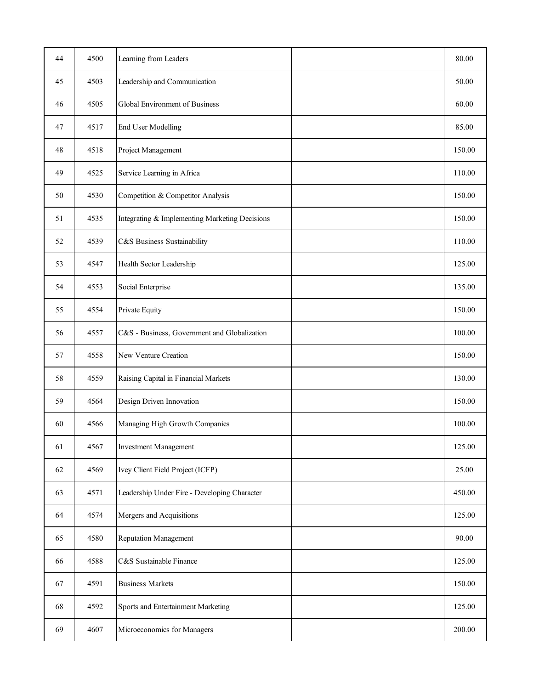| 44 | 4500 | Learning from Leaders                          | 80.00  |
|----|------|------------------------------------------------|--------|
| 45 | 4503 | Leadership and Communication                   | 50.00  |
| 46 | 4505 | Global Environment of Business                 | 60.00  |
| 47 | 4517 | End User Modelling                             | 85.00  |
| 48 | 4518 | Project Management                             | 150.00 |
| 49 | 4525 | Service Learning in Africa                     | 110.00 |
| 50 | 4530 | Competition & Competitor Analysis              | 150.00 |
| 51 | 4535 | Integrating & Implementing Marketing Decisions | 150.00 |
| 52 | 4539 | C&S Business Sustainability                    | 110.00 |
| 53 | 4547 | Health Sector Leadership                       | 125.00 |
| 54 | 4553 | Social Enterprise                              | 135.00 |
| 55 | 4554 | Private Equity                                 | 150.00 |
| 56 | 4557 | C&S - Business, Government and Globalization   | 100.00 |
| 57 | 4558 | New Venture Creation                           | 150.00 |
| 58 | 4559 | Raising Capital in Financial Markets           | 130.00 |
| 59 | 4564 | Design Driven Innovation                       | 150.00 |
| 60 | 4566 | Managing High Growth Companies                 | 100.00 |
| 61 | 4567 | <b>Investment Management</b>                   | 125.00 |
| 62 | 4569 | Ivey Client Field Project (ICFP)               | 25.00  |
| 63 | 4571 | Leadership Under Fire - Developing Character   | 450.00 |
| 64 | 4574 | Mergers and Acquisitions                       | 125.00 |
| 65 | 4580 | Reputation Management                          | 90.00  |
| 66 | 4588 | C&S Sustainable Finance                        | 125.00 |
| 67 | 4591 | <b>Business Markets</b>                        | 150.00 |
| 68 | 4592 | Sports and Entertainment Marketing             | 125.00 |
| 69 | 4607 | Microeconomics for Managers                    | 200.00 |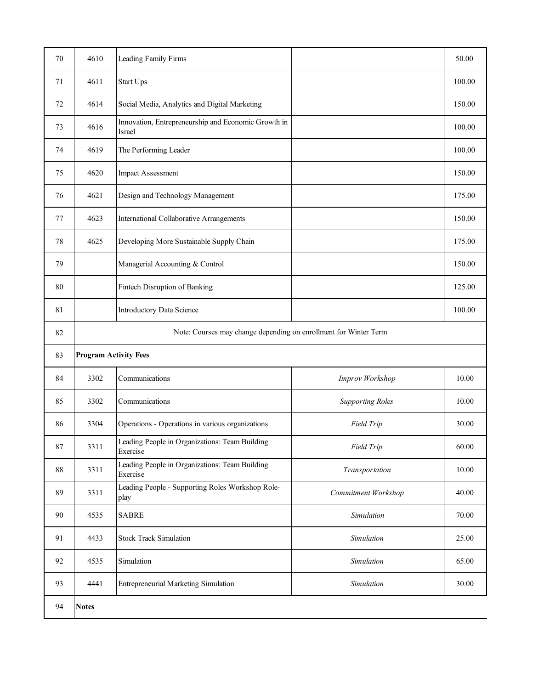| 70 | 4610                                                             | Leading Family Firms                                          |                         | 50.00  |
|----|------------------------------------------------------------------|---------------------------------------------------------------|-------------------------|--------|
| 71 | 4611                                                             | Start Ups                                                     |                         | 100.00 |
| 72 | 4614                                                             | Social Media, Analytics and Digital Marketing                 |                         | 150.00 |
| 73 | 4616                                                             | Innovation, Entrepreneurship and Economic Growth in<br>Israel |                         | 100.00 |
| 74 | 4619                                                             | The Performing Leader                                         |                         | 100.00 |
| 75 | 4620                                                             | <b>Impact Assessment</b>                                      |                         | 150.00 |
| 76 | 4621                                                             | Design and Technology Management                              |                         | 175.00 |
| 77 | 4623                                                             | International Collaborative Arrangements                      |                         | 150.00 |
| 78 | 4625                                                             | Developing More Sustainable Supply Chain                      |                         | 175.00 |
| 79 |                                                                  | Managerial Accounting & Control                               |                         | 150.00 |
| 80 |                                                                  | Fintech Disruption of Banking                                 |                         | 125.00 |
| 81 |                                                                  | Introductory Data Science                                     |                         | 100.00 |
| 82 | Note: Courses may change depending on enrollment for Winter Term |                                                               |                         |        |
| 83 | <b>Program Activity Fees</b>                                     |                                                               |                         |        |
| 84 | 3302                                                             | Communications                                                | Improv Workshop         | 10.00  |
| 85 | 3302                                                             | Communications                                                | <b>Supporting Roles</b> | 10.00  |
| 86 | 3304                                                             | Operations - Operations in various organizations              | Field Trip              | 30.00  |
| 87 | 3311                                                             | Leading People in Organizations: Team Building<br>Exercise    | Field Trip              | 60.00  |
| 88 | 3311                                                             | Leading People in Organizations: Team Building<br>Exercise    | Transportation          | 10.00  |
| 89 | 3311                                                             | Leading People - Supporting Roles Workshop Role-<br>play      | Commitment Workshop     | 40.00  |
| 90 | 4535                                                             | <b>SABRE</b>                                                  | Simulation              | 70.00  |
| 91 | 4433                                                             | <b>Stock Track Simulation</b>                                 | Simulation              | 25.00  |
| 92 | 4535                                                             | Simulation                                                    | Simulation              | 65.00  |
| 93 | 4441                                                             | <b>Entrepreneurial Marketing Simulation</b>                   | Simulation              | 30.00  |
| 94 | <b>Notes</b>                                                     |                                                               |                         |        |